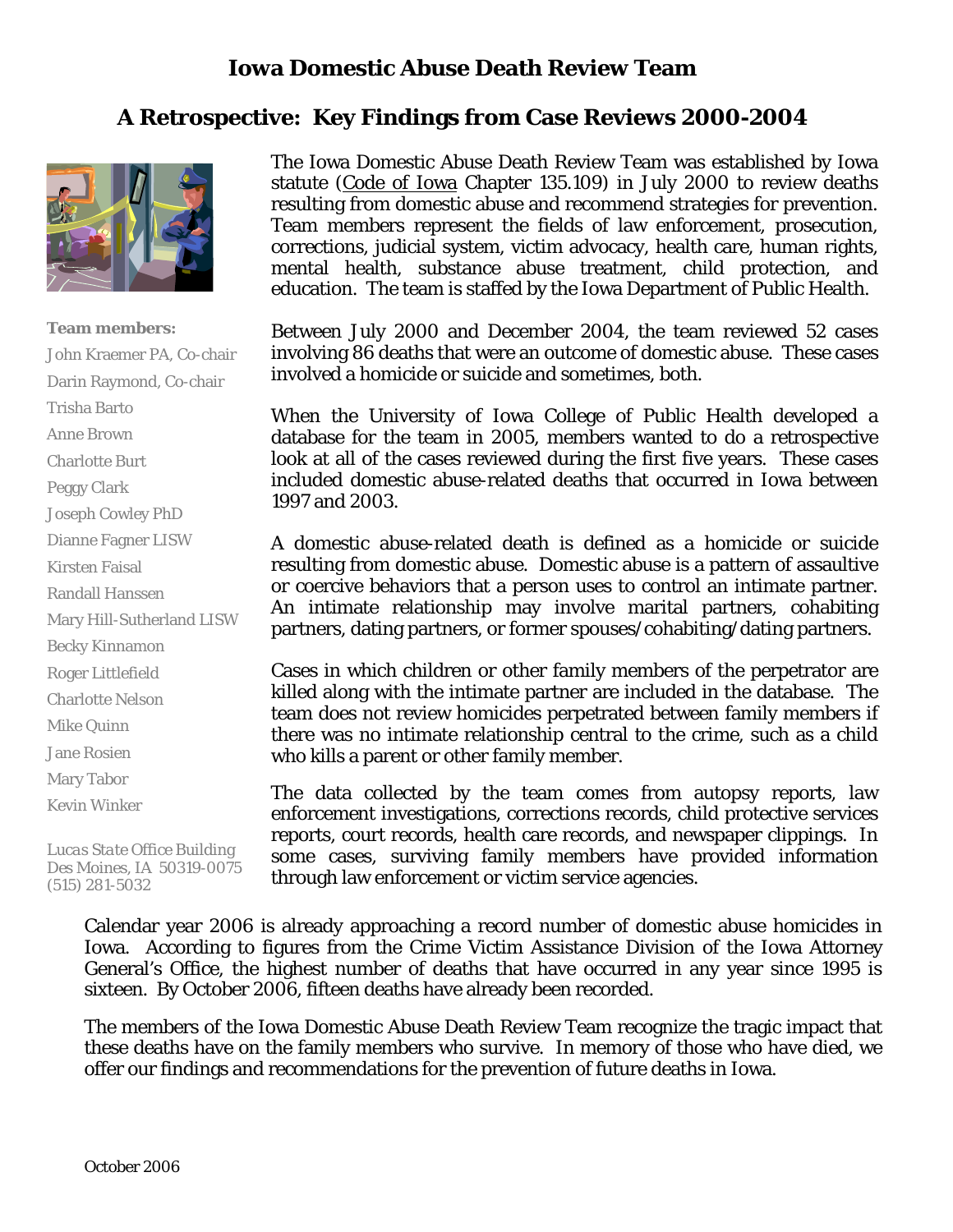# **Iowa Domestic Abuse Death Review Team**

# **A Retrospective: Key Findings from Case Reviews 2000-2004**



#### **Team members:**

John Kraemer PA, Co-chair Darin Raymond, Co-chair Trisha Barto Anne Brown Charlotte Burt Peggy Clark Joseph Cowley PhD Dianne Fagner LISW Kirsten Faisal Randall Hanssen Mary Hill-Sutherland LISW Becky Kinnamon Roger Littlefield Charlotte Nelson Mike Quinn Jane Rosien Mary Tabor Kevin Winker

*Lucas State Office Building Des Moines, IA 50319-0075 (515) 281-5032* 

The Iowa Domestic Abuse Death Review Team was established by Iowa statute (Code of Iowa Chapter 135.109) in July 2000 to review deaths resulting from domestic abuse and recommend strategies for prevention. Team members represent the fields of law enforcement, prosecution, corrections, judicial system, victim advocacy, health care, human rights, mental health, substance abuse treatment, child protection, and education. The team is staffed by the Iowa Department of Public Health.

Between July 2000 and December 2004, the team reviewed 52 cases involving 86 deaths that were an outcome of domestic abuse. These cases involved a homicide or suicide and sometimes, both.

When the University of Iowa College of Public Health developed a database for the team in 2005, members wanted to do a retrospective look at all of the cases reviewed during the first five years. These cases included domestic abuse-related deaths that occurred in Iowa between 1997 and 2003.

A domestic abuse-related death is defined as a homicide or suicide resulting from domestic abuse. Domestic abuse is a pattern of assaultive or coercive behaviors that a person uses to control an intimate partner. An intimate relationship may involve marital partners, cohabiting partners, dating partners, or former spouses/cohabiting/dating partners.

Cases in which children or other family members of the perpetrator are killed along with the intimate partner are included in the database. The team does not review homicides perpetrated between family members if there was no intimate relationship central to the crime, such as a child who kills a parent or other family member.

The data collected by the team comes from autopsy reports, law enforcement investigations, corrections records, child protective services reports, court records, health care records, and newspaper clippings. In some cases, surviving family members have provided information through law enforcement or victim service agencies.

Calendar year 2006 is already approaching a record number of domestic abuse homicides in Iowa. According to figures from the Crime Victim Assistance Division of the Iowa Attorney General's Office, the highest number of deaths that have occurred in any year since 1995 is sixteen. By October 2006, fifteen deaths have already been recorded.

The members of the Iowa Domestic Abuse Death Review Team recognize the tragic impact that these deaths have on the family members who survive. In memory of those who have died, we offer our findings and recommendations for the prevention of future deaths in Iowa.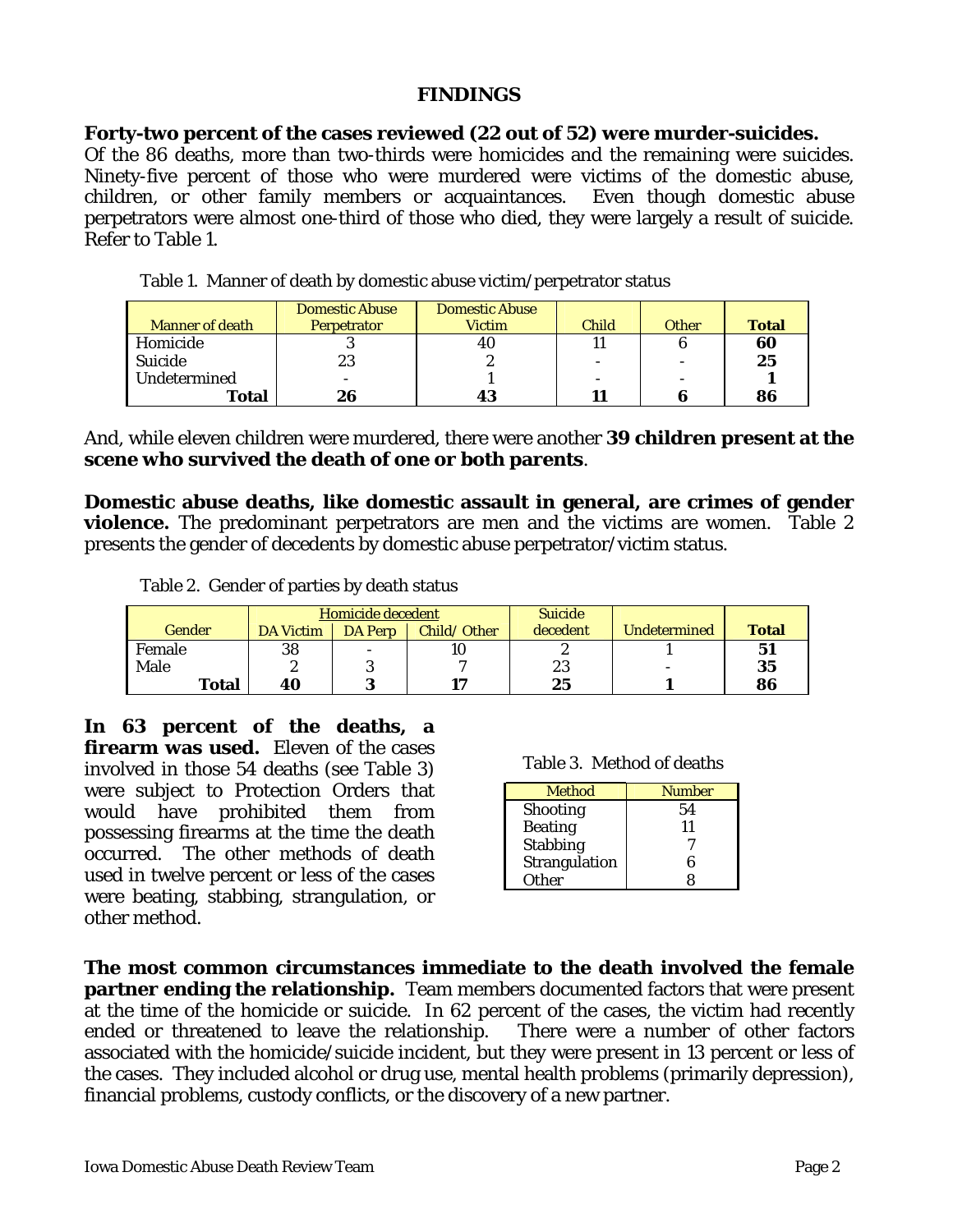## **FINDINGS**

### **Forty-two percent of the cases reviewed (22 out of 52) were murder-suicides.**

Of the 86 deaths, more than two-thirds were homicides and the remaining were suicides. Ninety-five percent of those who were murdered were victims of the domestic abuse, children, or other family members or acquaintances. Even though domestic abuse perpetrators were almost one-third of those who died, they were largely a result of suicide. Refer to Table 1.

|                        | <b>Domestic Abuse</b> | <b>Domestic Abuse</b> |              |                          |              |
|------------------------|-----------------------|-----------------------|--------------|--------------------------|--------------|
| <b>Manner of death</b> | <b>Perpetrator</b>    | <b>Victim</b>         | <b>Child</b> | Other                    | <b>Total</b> |
| Homicide               |                       | 4U                    |              |                          | 60           |
| Suicide                | 23                    | ∼                     |              | $\overline{\phantom{0}}$ | 25           |
| Undetermined           |                       |                       |              | $\overline{\phantom{a}}$ |              |
| Total                  | 26                    | 43                    |              |                          | 86           |

Table 1. Manner of death by domestic abuse victim/perpetrator status

And, while eleven children were murdered, there were another **39 children present at the scene who survived the death of one or both parents**.

**Domestic abuse deaths, like domestic assault in general, are crimes of gender violence.** The predominant perpetrators are men and the victims are women. Table 2 presents the gender of decedents by domestic abuse perpetrator/victim status.

Table 2. Gender of parties by death status

|              | Homicide decedent |                | <b>Suicide</b> |          |                          |              |
|--------------|-------------------|----------------|----------------|----------|--------------------------|--------------|
| Gender       | <b>DA Victim</b>  | <b>DA Perp</b> | Child/Other    | decedent | <b>Undetermined</b>      | <b>Total</b> |
| Female       | 38                | -              | 10             |          |                          | 51           |
| Male         |                   |                |                | 23       | $\overline{\phantom{a}}$ | 35           |
| <b>Total</b> | 40                | 3              | 17             | 25       |                          | 86           |

**In 63 percent of the deaths, a firearm was used.** Eleven of the cases involved in those 54 deaths (see Table 3) were subject to Protection Orders that would have prohibited them from possessing firearms at the time the death occurred. The other methods of death used in twelve percent or less of the cases were beating, stabbing, strangulation, or other method.

Table 3. Method of deaths

| <b>Method</b>   | <b>Number</b> |
|-----------------|---------------|
| <b>Shooting</b> | 54            |
| <b>Beating</b>  | 11            |
| <b>Stabbing</b> |               |
| Strangulation   | 6             |
| <b>Other</b>    | Ջ             |

**The most common circumstances immediate to the death involved the female partner ending the relationship.** Team members documented factors that were present at the time of the homicide or suicide. In 62 percent of the cases, the victim had recently ended or threatened to leave the relationship. There were a number of other factors associated with the homicide/suicide incident, but they were present in 13 percent or less of the cases. They included alcohol or drug use, mental health problems (primarily depression), financial problems, custody conflicts, or the discovery of a new partner.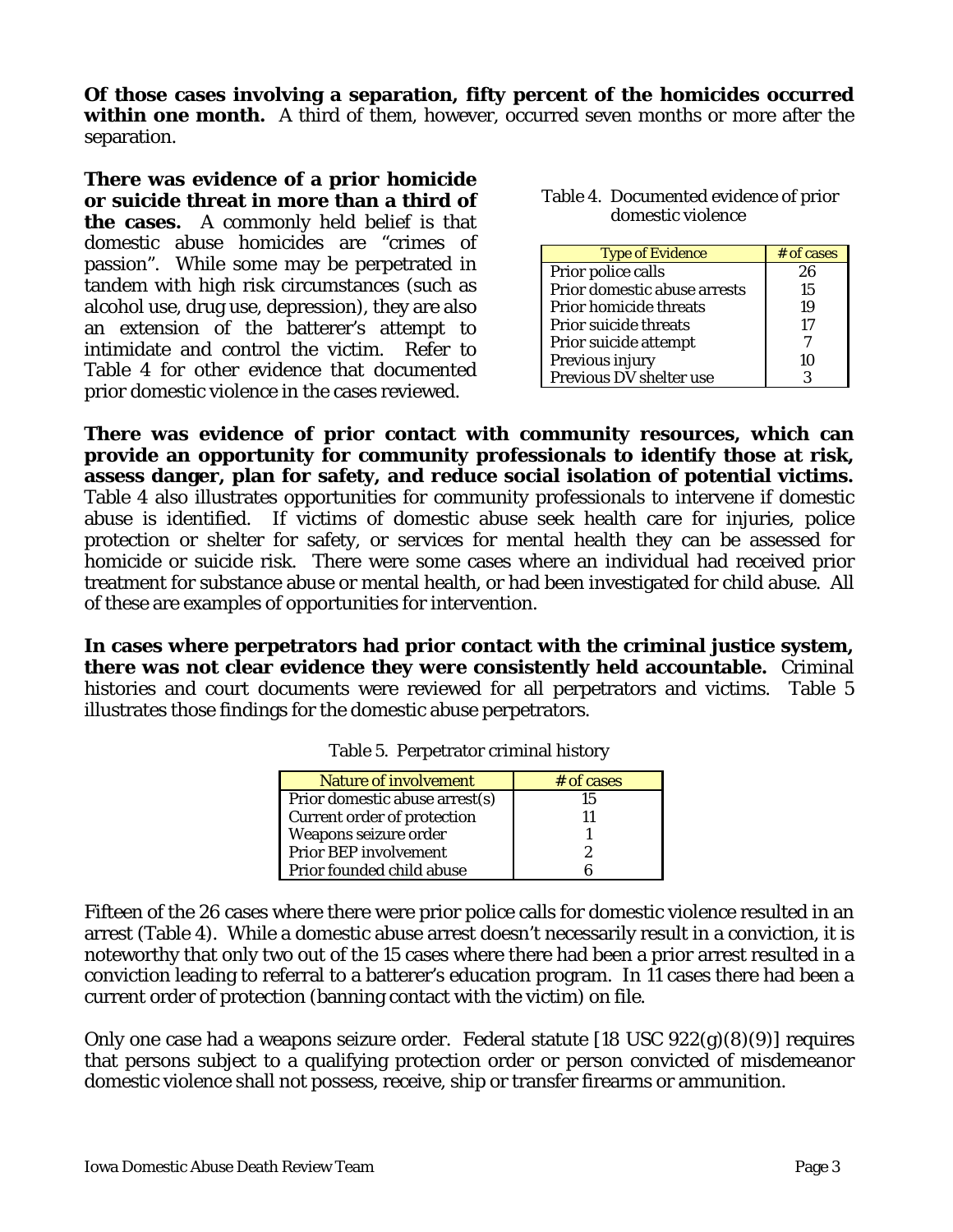**Of those cases involving a separation, fifty percent of the homicides occurred within one month.** A third of them, however, occurred seven months or more after the separation.

**There was evidence of a prior homicide or suicide threat in more than a third of the cases.** A commonly held belief is that domestic abuse homicides are "crimes of passion". While some may be perpetrated in tandem with high risk circumstances (such as alcohol use, drug use, depression), they are also an extension of the batterer's attempt to intimidate and control the victim. Refer to Table 4 for other evidence that documented prior domestic violence in the cases reviewed.

| Table 4. Documented evidence of prior |
|---------------------------------------|
| domestic violence                     |

| <b>Type of Evidence</b>      | # of cases |
|------------------------------|------------|
| Prior police calls           | 26         |
| Prior domestic abuse arrests | 15         |
| Prior homicide threats       | 19         |
| Prior suicide threats        | 17         |
| Prior suicide attempt        |            |
| Previous injury              | 10         |
| Previous DV shelter use      |            |

**There was evidence of prior contact with community resources, which can provide an opportunity for community professionals to identify those at risk, assess danger, plan for safety, and reduce social isolation of potential victims.** Table 4 also illustrates opportunities for community professionals to intervene if domestic abuse is identified. If victims of domestic abuse seek health care for injuries, police protection or shelter for safety, or services for mental health they can be assessed for homicide or suicide risk. There were some cases where an individual had received prior treatment for substance abuse or mental health, or had been investigated for child abuse. All of these are examples of opportunities for intervention.

**In cases where perpetrators had prior contact with the criminal justice system, there was not clear evidence they were consistently held accountable.** Criminal histories and court documents were reviewed for all perpetrators and victims. Table 5 illustrates those findings for the domestic abuse perpetrators.

| <b>Nature of involvement</b>   | # of cases |
|--------------------------------|------------|
| Prior domestic abuse arrest(s) | 15         |
| Current order of protection    |            |
| Weapons seizure order          |            |
| <b>Prior BEP involvement</b>   |            |
| Prior founded child abuse      |            |

Table 5. Perpetrator criminal history

Fifteen of the 26 cases where there were prior police calls for domestic violence resulted in an arrest (Table 4). While a domestic abuse arrest doesn't necessarily result in a conviction, it is noteworthy that only two out of the 15 cases where there had been a prior arrest resulted in a conviction leading to referral to a batterer's education program. In 11 cases there had been a current order of protection (banning contact with the victim) on file.

Only one case had a weapons seizure order. Federal statute [18 USC 922(g)(8)(9)] requires that persons subject to a qualifying protection order or person convicted of misdemeanor domestic violence shall not possess, receive, ship or transfer firearms or ammunition.